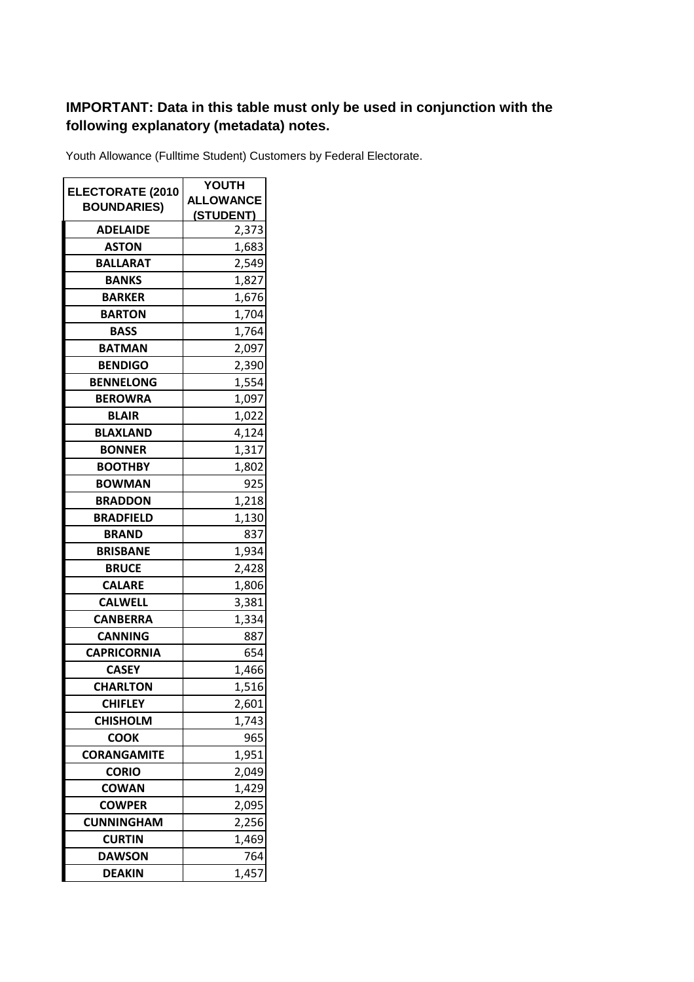## **IMPORTANT: Data in this table must only be used in conjunction with the following explanatory (metadata) notes.**

Youth Allowance (Fulltime Student) Customers by Federal Electorate.

|                         | <b>YOUTH</b>     |
|-------------------------|------------------|
| <b>ELECTORATE (2010</b> | <b>ALLOWANCE</b> |
| <b>BOUNDARIES)</b>      | <u>(STUDENT)</u> |
| <b>ADELAIDE</b>         | 2,373            |
| <b>ASTON</b>            | 1,683            |
| <b>BALLARAT</b>         | 2,549            |
| BANKS                   | 1,827            |
| <b>BARKER</b>           | 1,676            |
| <b>BARTON</b>           | 1,704            |
| <b>BASS</b>             | 1,764            |
| <b>BATMAN</b>           | 2,097            |
| <b>BENDIGO</b>          | 2,390            |
| <b>BENNELONG</b>        | 1,554            |
| <b>BEROWRA</b>          | 1,097            |
| <b>BLAIR</b>            | 1,022            |
| <b>BLAXLAND</b>         | 4,124            |
| <b>BONNER</b>           | 1,317            |
| <b>BOOTHBY</b>          | 1,802            |
| <b>BOWMAN</b>           | 925              |
| <b>BRADDON</b>          | 1,218            |
| <b>BRADFIELD</b>        | 1,130            |
| <b>BRAND</b>            | 837              |
| <b>BRISBANE</b>         | 1,934            |
| <b>BRUCE</b>            | 2,428            |
| <b>CALARE</b>           | 1,806            |
| <b>CALWELL</b>          | 3,381            |
| <b>CANBERRA</b>         | 1,334            |
| <b>CANNING</b>          | 887              |
| <b>CAPRICORNIA</b>      | 654              |
| <b>CASEY</b>            | 1,466            |
| <b>CHARLTON</b>         | 1,516            |
| <b>CHIFLEY</b>          | 2,601            |
| <b>CHISHOLM</b>         | 1,743            |
| <b>COOK</b>             | 965              |
| <b>CORANGAMITE</b>      | 1,951            |
| <b>CORIO</b>            | 2,049            |
| <b>COWAN</b>            | 1,429            |
| <b>COWPER</b>           | 2,095            |
| <b>CUNNINGHAM</b>       | 2,256            |
| <b>CURTIN</b>           | 1,469            |
| <b>DAWSON</b>           | 764              |
| <b>DEAKIN</b>           | 1,457            |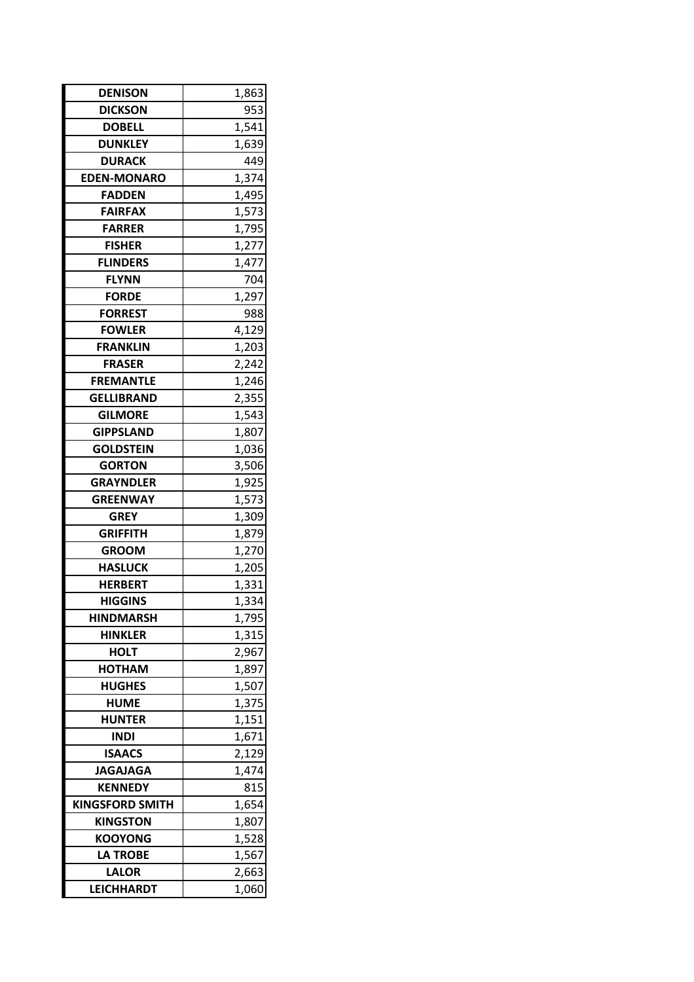| <b>DENISON</b>         | 1,863 |
|------------------------|-------|
| <b>DICKSON</b>         | 953   |
| <b>DOBELL</b>          | 1,541 |
| <b>DUNKLEY</b>         | 1,639 |
| <b>DURACK</b>          | 449   |
| <b>EDEN-MONARO</b>     | 1,374 |
| <b>FADDEN</b>          | 1,495 |
| <b>FAIRFAX</b>         | 1,573 |
| <b>FARRER</b>          | 1,795 |
| <b>FISHER</b>          | 1,277 |
| <b>FLINDERS</b>        | 1,477 |
| <b>FLYNN</b>           | 704   |
| <b>FORDE</b>           | 1,297 |
| <b>FORREST</b>         | 988   |
| <b>FOWLER</b>          | 4,129 |
| <b>FRANKLIN</b>        | 1,203 |
| <b>FRASER</b>          | 2,242 |
| <b>FREMANTLE</b>       | 1,246 |
| <b>GELLIBRAND</b>      | 2,355 |
| <b>GILMORE</b>         | 1,543 |
| <b>GIPPSLAND</b>       | 1,807 |
| <b>GOLDSTEIN</b>       | 1,036 |
| <b>GORTON</b>          | 3,506 |
| <b>GRAYNDLER</b>       | 1,925 |
| <b>GREENWAY</b>        | 1,573 |
| <b>GREY</b>            | 1,309 |
| <b>GRIFFITH</b>        | 1,879 |
| <b>GROOM</b>           | 1,270 |
| <b>HASLUCK</b>         | 1,205 |
| <b>HERBERT</b>         | 1,331 |
| <b>HIGGINS</b>         | 1,334 |
| <b>HINDMARSH</b>       | 1,795 |
| HINKLER                | 1,315 |
| <b>HOLT</b>            | 2,967 |
| <b>HOTHAM</b>          | 1,897 |
| <b>HUGHES</b>          | 1,507 |
| <b>HUME</b>            | 1,375 |
| <b>HUNTER</b>          | 1,151 |
| <b>INDI</b>            | 1,671 |
| <b>ISAACS</b>          | 2,129 |
| <b>JAGAJAGA</b>        | 1,474 |
| <b>KENNEDY</b>         | 815   |
| <b>KINGSFORD SMITH</b> | 1,654 |
| <b>KINGSTON</b>        | 1,807 |
| <b>KOOYONG</b>         | 1,528 |
| <b>LA TROBE</b>        | 1,567 |
| <b>LALOR</b>           | 2,663 |
| <b>LEICHHARDT</b>      | 1,060 |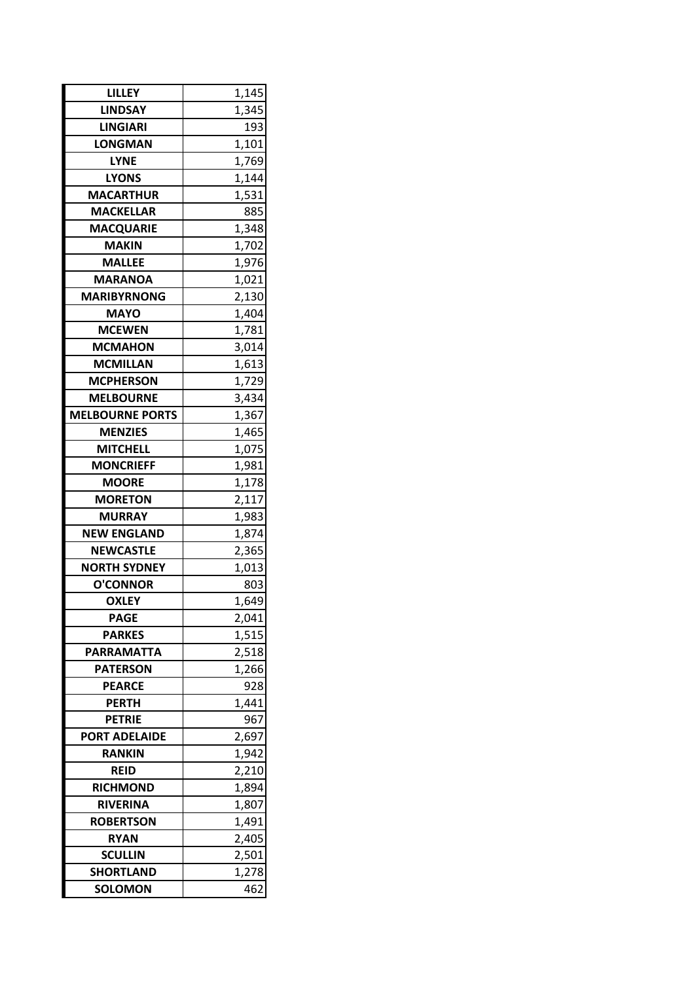| <b>LILLEY</b>          | 1,145 |  |
|------------------------|-------|--|
| <b>LINDSAY</b>         | 1,345 |  |
| <b>LINGIARI</b>        | 193   |  |
| <b>LONGMAN</b>         | 1,101 |  |
| <b>LYNE</b>            | 1,769 |  |
| <b>LYONS</b>           | 1,144 |  |
| <b>MACARTHUR</b>       | 1,531 |  |
| <b>MACKELLAR</b>       | 885   |  |
| <b>MACQUARIE</b>       | 1,348 |  |
| <b>MAKIN</b>           | 1,702 |  |
| <b>MALLEE</b>          | 1,976 |  |
| <b>MARANOA</b>         | 1,021 |  |
| <b>MARIBYRNONG</b>     | 2,130 |  |
| <b>MAYO</b>            | 1,404 |  |
| <b>MCEWEN</b>          | 1,781 |  |
| <b>MCMAHON</b>         | 3,014 |  |
| <b>MCMILLAN</b>        | 1,613 |  |
| <b>MCPHERSON</b>       | 1,729 |  |
| <b>MELBOURNE</b>       | 3,434 |  |
| <b>MELBOURNE PORTS</b> | 1,367 |  |
| <b>MENZIES</b>         | 1,465 |  |
| <b>MITCHELL</b>        | 1,075 |  |
| <b>MONCRIEFF</b>       | 1,981 |  |
| <b>MOORE</b>           | 1,178 |  |
| <b>MORETON</b>         | 2,117 |  |
| <b>MURRAY</b>          | 1,983 |  |
| <b>NEW ENGLAND</b>     | 1,874 |  |
| <b>NEWCASTLE</b>       | 2,365 |  |
| <b>NORTH SYDNEY</b>    | 1,013 |  |
| <b>O'CONNOR</b>        | 803   |  |
| <b>OXLEY</b>           | 1,649 |  |
| <b>PAGE</b>            | 2,041 |  |
| <b>PARKES</b>          | 1,515 |  |
| <b>PARRAMATTA</b>      | 2,518 |  |
| <b>PATERSON</b>        | 1,266 |  |
| <b>PEARCE</b>          | 928   |  |
| <b>PERTH</b>           | 1,441 |  |
| <b>PETRIE</b>          | 967   |  |
| <b>PORT ADELAIDE</b>   | 2,697 |  |
| <b>RANKIN</b>          | 1,942 |  |
| <b>REID</b>            | 2,210 |  |
| <b>RICHMOND</b>        | 1,894 |  |
| <b>RIVERINA</b>        | 1,807 |  |
| <b>ROBERTSON</b>       | 1,491 |  |
| <b>RYAN</b>            | 2,405 |  |
| <b>SCULLIN</b>         | 2,501 |  |
| <b>SHORTLAND</b>       | 1,278 |  |
| <b>SOLOMON</b>         | 462   |  |
|                        |       |  |